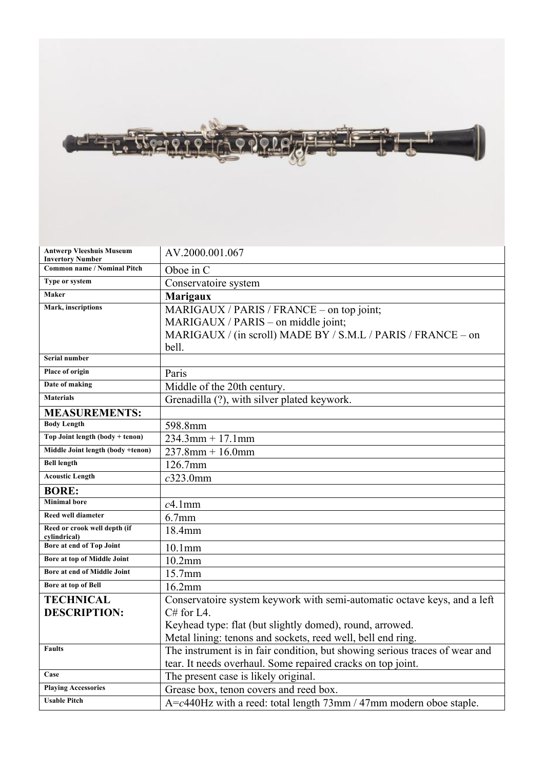

| <b>Antwerp Vleeshuis Museum</b>                               | AV.2000.001.067                                                                  |
|---------------------------------------------------------------|----------------------------------------------------------------------------------|
| <b>Invertory Number</b><br><b>Common name / Nominal Pitch</b> | Oboe in C                                                                        |
| Type or system                                                | Conservatoire system                                                             |
| Maker                                                         | <b>Marigaux</b>                                                                  |
| Mark, inscriptions                                            |                                                                                  |
|                                                               | MARIGAUX / PARIS / FRANCE – on top joint;<br>MARIGAUX / PARIS – on middle joint; |
|                                                               |                                                                                  |
|                                                               | MARIGAUX / (in scroll) MADE BY / S.M.L / PARIS / FRANCE - on<br>bell.            |
| Serial number                                                 |                                                                                  |
| Place of origin                                               |                                                                                  |
| Date of making                                                | Paris                                                                            |
| <b>Materials</b>                                              | Middle of the 20th century.                                                      |
|                                                               | Grenadilla (?), with silver plated keywork.                                      |
| <b>MEASUREMENTS:</b>                                          |                                                                                  |
| <b>Body Length</b>                                            | 598.8mm                                                                          |
| Top Joint length (body + tenon)                               | $234.3$ mm + 17.1mm                                                              |
| Middle Joint length (body +tenon)                             | $237.8$ mm + 16.0mm                                                              |
| <b>Bell length</b>                                            | 126.7mm                                                                          |
| <b>Acoustic Length</b>                                        | $c323.0$ mm                                                                      |
| <b>BORE:</b>                                                  |                                                                                  |
| <b>Minimal</b> bore                                           | $c4.1$ mm                                                                        |
| Reed well diameter                                            | $6.7$ mm                                                                         |
| Reed or crook well depth (if<br>cylindrical)                  | 18.4mm                                                                           |
| Bore at end of Top Joint                                      | $10.1$ mm                                                                        |
| Bore at top of Middle Joint                                   | $10.2$ mm                                                                        |
| Bore at end of Middle Joint                                   | 15.7mm                                                                           |
| Bore at top of Bell                                           | 16.2mm                                                                           |
| <b>TECHNICAL</b>                                              | Conservatoire system keywork with semi-automatic octave keys, and a left         |
| <b>DESCRIPTION:</b>                                           | $C#$ for L4.                                                                     |
|                                                               | Keyhead type: flat (but slightly domed), round, arrowed.                         |
|                                                               | Metal lining: tenons and sockets, reed well, bell end ring.                      |
| <b>Faults</b>                                                 | The instrument is in fair condition, but showing serious traces of wear and      |
|                                                               | tear. It needs overhaul. Some repaired cracks on top joint.                      |
| Case                                                          | The present case is likely original.                                             |
| <b>Playing Accessories</b>                                    | Grease box, tenon covers and reed box.                                           |
| <b>Usable Pitch</b>                                           | $A = c440$ Hz with a reed: total length 73mm / 47mm modern oboe staple.          |